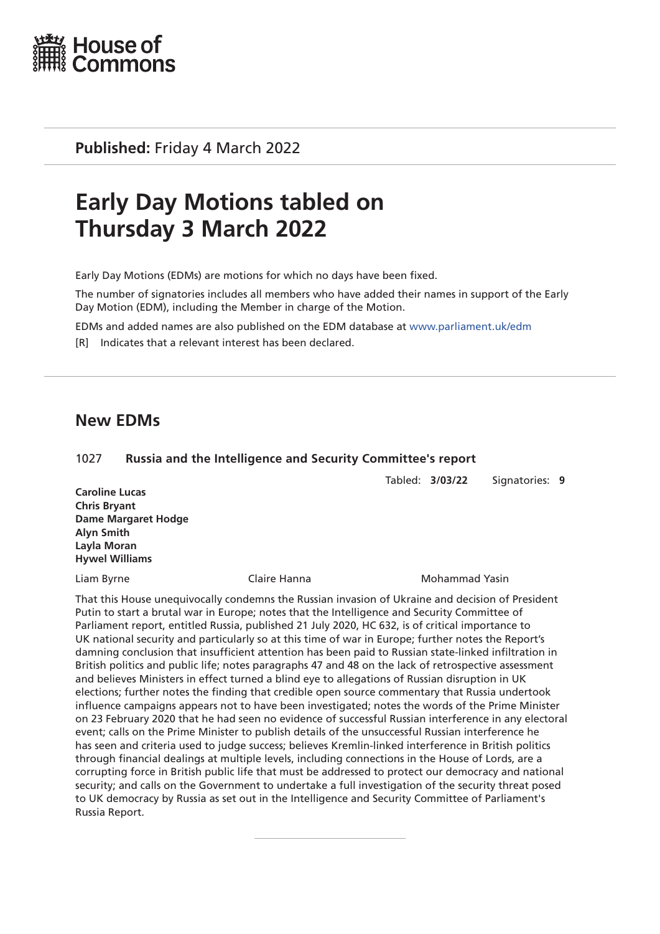

**Published:** Friday 4 March 2022

# **Early Day Motions tabled on Thursday 3 March 2022**

Early Day Motions (EDMs) are motions for which no days have been fixed.

The number of signatories includes all members who have added their names in support of the Early Day Motion (EDM), including the Member in charge of the Motion.

EDMs and added names are also published on the EDM database at [www.parliament.uk/edm](http://www.parliament.uk/edm)

[R] Indicates that a relevant interest has been declared.

# **New EDMs**

### 1027 **Russia and the Intelligence and Security Committee's report**

Tabled: **3/03/22** Signatories: **9**

**Caroline Lucas Chris Bryant Dame Margaret Hodge Alyn Smith Layla Moran Hywel Williams**

Liam Byrne Claire Hanna Mohammad Yasin

That this House unequivocally condemns the Russian invasion of Ukraine and decision of President Putin to start a brutal war in Europe; notes that the Intelligence and Security Committee of Parliament report, entitled Russia, published 21 July 2020, HC 632, is of critical importance to UK national security and particularly so at this time of war in Europe; further notes the Report's damning conclusion that insufficient attention has been paid to Russian state-linked infiltration in British politics and public life; notes paragraphs 47 and 48 on the lack of retrospective assessment and believes Ministers in effect turned a blind eye to allegations of Russian disruption in UK elections; further notes the finding that credible open source commentary that Russia undertook influence campaigns appears not to have been investigated; notes the words of the Prime Minister on 23 February 2020 that he had seen no evidence of successful Russian interference in any electoral event; calls on the Prime Minister to publish details of the unsuccessful Russian interference he has seen and criteria used to judge success; believes Kremlin-linked interference in British politics through financial dealings at multiple levels, including connections in the House of Lords, are a corrupting force in British public life that must be addressed to protect our democracy and national security; and calls on the Government to undertake a full investigation of the security threat posed to UK democracy by Russia as set out in the Intelligence and Security Committee of Parliament's Russia Report.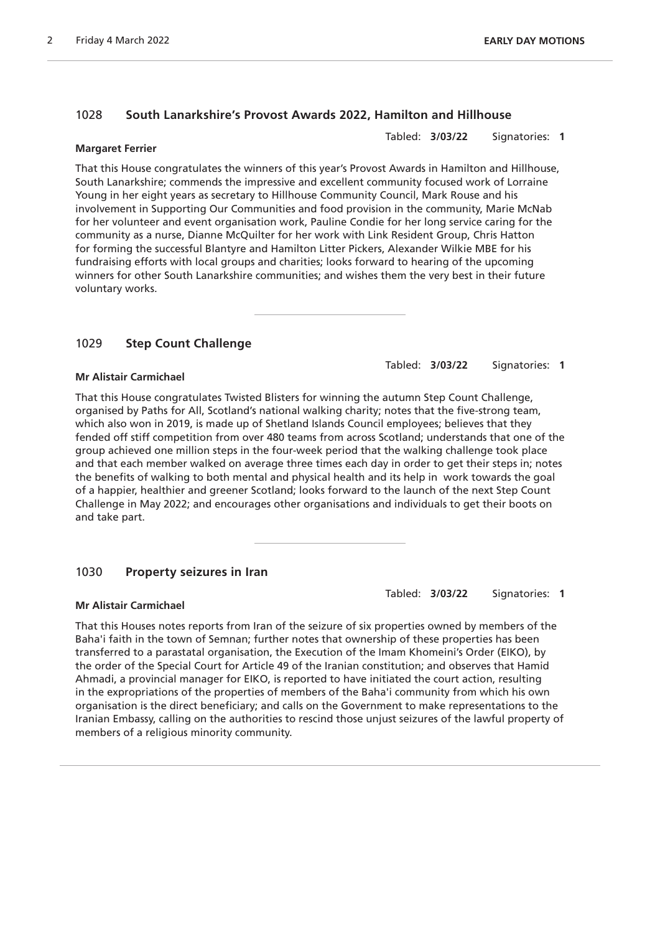# 1028 **South Lanarkshire's Provost Awards 2022, Hamilton and Hillhouse**

Tabled: **3/03/22** Signatories: **1**

#### **Margaret Ferrier**

That this House congratulates the winners of this year's Provost Awards in Hamilton and Hillhouse, South Lanarkshire; commends the impressive and excellent community focused work of Lorraine Young in her eight years as secretary to Hillhouse Community Council, Mark Rouse and his involvement in Supporting Our Communities and food provision in the community, Marie McNab for her volunteer and event organisation work, Pauline Condie for her long service caring for the community as a nurse, Dianne McQuilter for her work with Link Resident Group, Chris Hatton for forming the successful Blantyre and Hamilton Litter Pickers, Alexander Wilkie MBE for his fundraising efforts with local groups and charities; looks forward to hearing of the upcoming winners for other South Lanarkshire communities; and wishes them the very best in their future voluntary works.

# 1029 **Step Count Challenge**

Tabled: **3/03/22** Signatories: **1**

### **Mr Alistair Carmichael**

That this House congratulates Twisted Blisters for winning the autumn Step Count Challenge, organised by Paths for All, Scotland's national walking charity; notes that the five-strong team, which also won in 2019, is made up of Shetland Islands Council employees; believes that they fended off stiff competition from over 480 teams from across Scotland; understands that one of the group achieved one million steps in the four-week period that the walking challenge took place and that each member walked on average three times each day in order to get their steps in; notes the benefits of walking to both mental and physical health and its help in work towards the goal of a happier, healthier and greener Scotland; looks forward to the launch of the next Step Count Challenge in May 2022; and encourages other organisations and individuals to get their boots on and take part.

# 1030 **Property seizures in Iran**

Tabled: **3/03/22** Signatories: **1**

### **Mr Alistair Carmichael**

That this Houses notes reports from Iran of the seizure of six properties owned by members of the Baha'i faith in the town of Semnan; further notes that ownership of these properties has been transferred to a parastatal organisation, the Execution of the Imam Khomeini's Order (EIKO), by the order of the Special Court for Article 49 of the Iranian constitution; and observes that Hamid Ahmadi, a provincial manager for EIKO, is reported to have initiated the court action, resulting in the expropriations of the properties of members of the Baha'i community from which his own organisation is the direct beneficiary; and calls on the Government to make representations to the Iranian Embassy, calling on the authorities to rescind those unjust seizures of the lawful property of members of a religious minority community.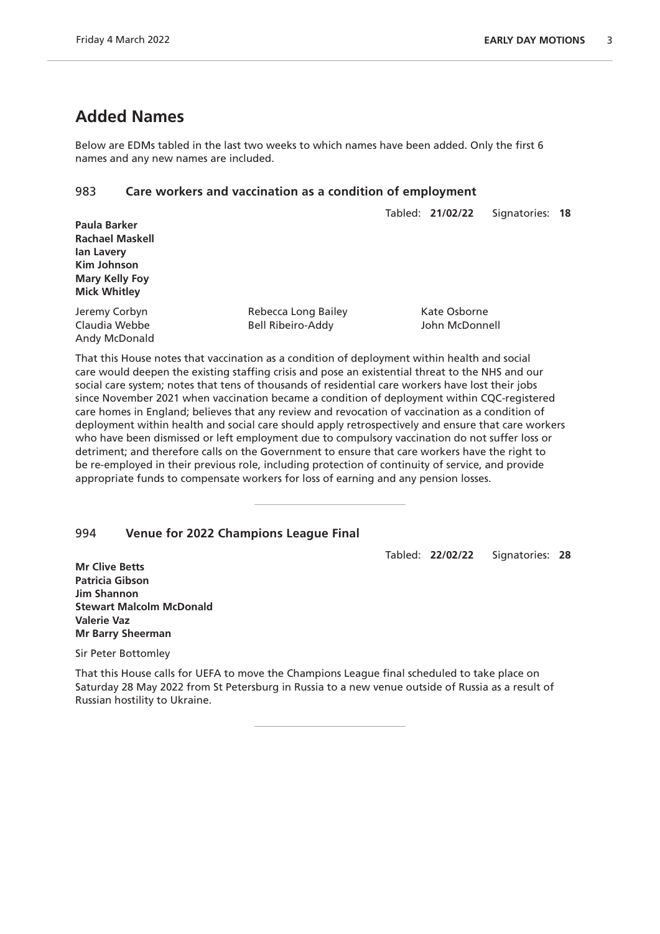# **Added Names**

Below are EDMs tabled in the last two weeks to which names have been added. Only the first 6 names and any new names are included.

# 983 **Care workers and vaccination as a condition of employment**

|                        |                     | Tabled: 21/02/22 | Signatories: 18 |  |
|------------------------|---------------------|------------------|-----------------|--|
| Paula Barker           |                     |                  |                 |  |
| <b>Rachael Maskell</b> |                     |                  |                 |  |
| lan Lavery             |                     |                  |                 |  |
| Kim Johnson            |                     |                  |                 |  |
| <b>Mary Kelly Foy</b>  |                     |                  |                 |  |
| <b>Mick Whitley</b>    |                     |                  |                 |  |
| Jeremy Corbyn          | Rebecca Long Bailey | Kate Osborne     |                 |  |
| Claudia Webbe          | Bell Ribeiro-Addy   | John McDonnell   |                 |  |
| Andy McDonald          |                     |                  |                 |  |

That this House notes that vaccination as a condition of deployment within health and social care would deepen the existing staffing crisis and pose an existential threat to the NHS and our social care system; notes that tens of thousands of residential care workers have lost their jobs since November 2021 when vaccination became a condition of deployment within CQC-registered care homes in England; believes that any review and revocation of vaccination as a condition of deployment within health and social care should apply retrospectively and ensure that care workers who have been dismissed or left employment due to compulsory vaccination do not suffer loss or detriment; and therefore calls on the Government to ensure that care workers have the right to be re-employed in their previous role, including protection of continuity of service, and provide appropriate funds to compensate workers for loss of earning and any pension losses.

# 994 **Venue for 2022 Champions League Final**

Tabled: **22/02/22** Signatories: **28**

**Mr Clive Betts Patricia Gibson Jim Shannon Stewart Malcolm McDonald Valerie Vaz Mr Barry Sheerman**

Sir Peter Bottomley

That this House calls for UEFA to move the Champions League final scheduled to take place on Saturday 28 May 2022 from St Petersburg in Russia to a new venue outside of Russia as a result of Russian hostility to Ukraine.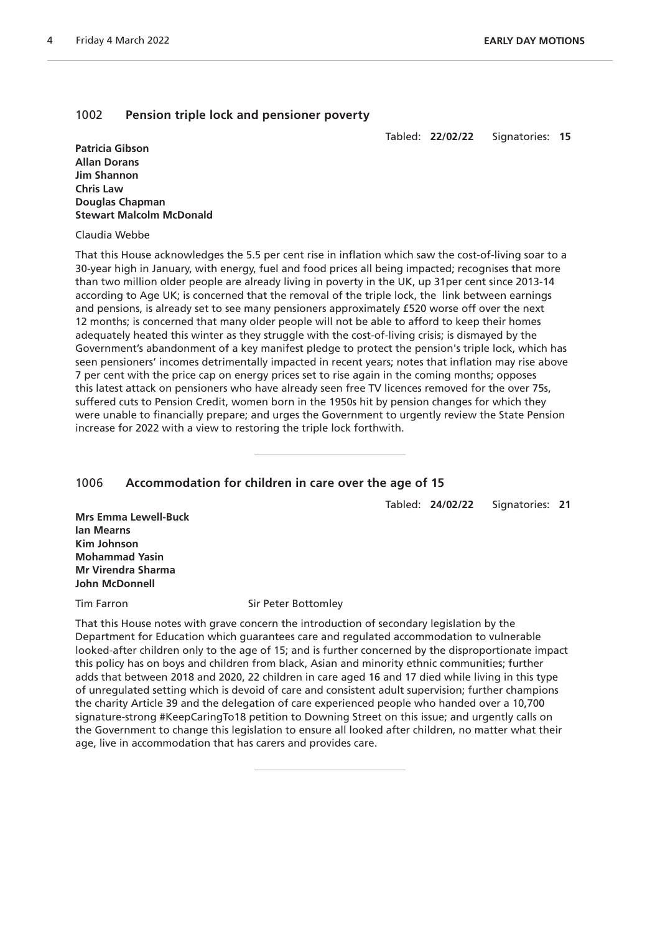### 1002 **Pension triple lock and pensioner poverty**

Tabled: **22/02/22** Signatories: **15**

**Patricia Gibson Allan Dorans Jim Shannon Chris Law Douglas Chapman Stewart Malcolm McDonald**

#### Claudia Webbe

That this House acknowledges the 5.5 per cent rise in inflation which saw the cost-of-living soar to a 30-year high in January, with energy, fuel and food prices all being impacted; recognises that more than two million older people are already living in poverty in the UK, up 31per cent since 2013-14 according to Age UK; is concerned that the removal of the triple lock, the link between earnings and pensions, is already set to see many pensioners approximately £520 worse off over the next 12 months; is concerned that many older people will not be able to afford to keep their homes adequately heated this winter as they struggle with the cost-of-living crisis; is dismayed by the Government's abandonment of a key manifest pledge to protect the pension's triple lock, which has seen pensioners' incomes detrimentally impacted in recent years; notes that inflation may rise above 7 per cent with the price cap on energy prices set to rise again in the coming months; opposes this latest attack on pensioners who have already seen free TV licences removed for the over 75s, suffered cuts to Pension Credit, women born in the 1950s hit by pension changes for which they were unable to financially prepare; and urges the Government to urgently review the State Pension increase for 2022 with a view to restoring the triple lock forthwith.

#### 1006 **Accommodation for children in care over the age of 15**

Tabled: **24/02/22** Signatories: **21**

**Mrs Emma Lewell-Buck Ian Mearns Kim Johnson Mohammad Yasin Mr Virendra Sharma John McDonnell**

Tim Farron Sir Peter Bottomley

That this House notes with grave concern the introduction of secondary legislation by the Department for Education which guarantees care and regulated accommodation to vulnerable looked-after children only to the age of 15; and is further concerned by the disproportionate impact this policy has on boys and children from black, Asian and minority ethnic communities; further adds that between 2018 and 2020, 22 children in care aged 16 and 17 died while living in this type of unregulated setting which is devoid of care and consistent adult supervision; further champions the charity Article 39 and the delegation of care experienced people who handed over a 10,700 signature-strong #KeepCaringTo18 petition to Downing Street on this issue; and urgently calls on the Government to change this legislation to ensure all looked after children, no matter what their age, live in accommodation that has carers and provides care.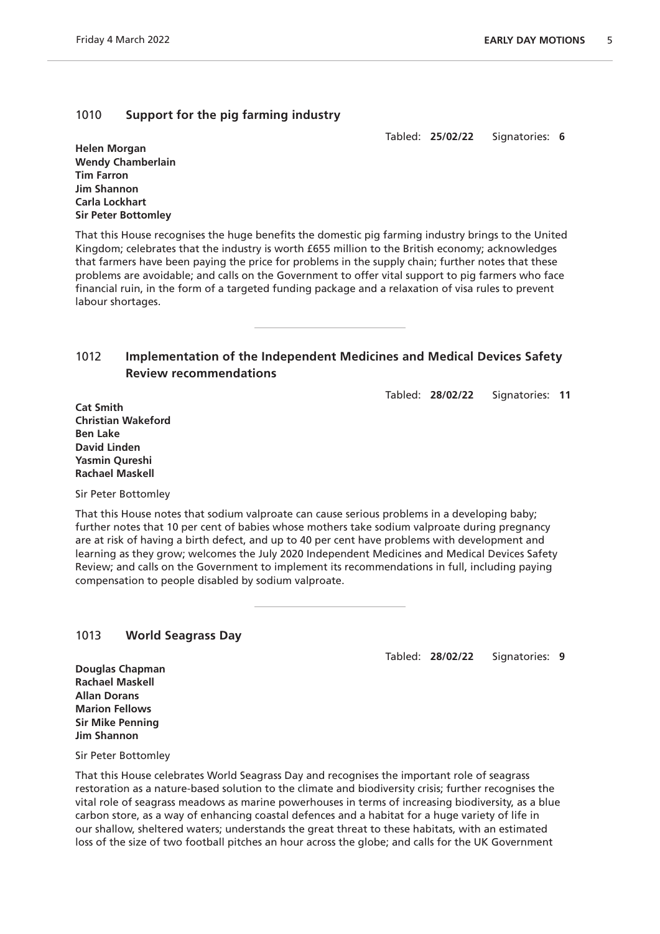# 1010 **Support for the pig farming industry**

Tabled: **25/02/22** Signatories: **6**

**Helen Morgan Wendy Chamberlain Tim Farron Jim Shannon Carla Lockhart Sir Peter Bottomley**

That this House recognises the huge benefits the domestic pig farming industry brings to the United Kingdom; celebrates that the industry is worth £655 million to the British economy; acknowledges that farmers have been paying the price for problems in the supply chain; further notes that these problems are avoidable; and calls on the Government to offer vital support to pig farmers who face financial ruin, in the form of a targeted funding package and a relaxation of visa rules to prevent labour shortages.

# 1012 **Implementation of the Independent Medicines and Medical Devices Safety Review recommendations**

Tabled: **28/02/22** Signatories: **11**

**Cat Smith Christian Wakeford Ben Lake David Linden Yasmin Qureshi Rachael Maskell**

Sir Peter Bottomley

That this House notes that sodium valproate can cause serious problems in a developing baby; further notes that 10 per cent of babies whose mothers take sodium valproate during pregnancy are at risk of having a birth defect, and up to 40 per cent have problems with development and learning as they grow; welcomes the July 2020 Independent Medicines and Medical Devices Safety Review; and calls on the Government to implement its recommendations in full, including paying compensation to people disabled by sodium valproate.

# 1013 **World Seagrass Day**

Tabled: **28/02/22** Signatories: **9**

**Douglas Chapman Rachael Maskell Allan Dorans Marion Fellows Sir Mike Penning Jim Shannon**

Sir Peter Bottomley

That this House celebrates World Seagrass Day and recognises the important role of seagrass restoration as a nature-based solution to the climate and biodiversity crisis; further recognises the vital role of seagrass meadows as marine powerhouses in terms of increasing biodiversity, as a blue carbon store, as a way of enhancing coastal defences and a habitat for a huge variety of life in our shallow, sheltered waters; understands the great threat to these habitats, with an estimated loss of the size of two football pitches an hour across the globe; and calls for the UK Government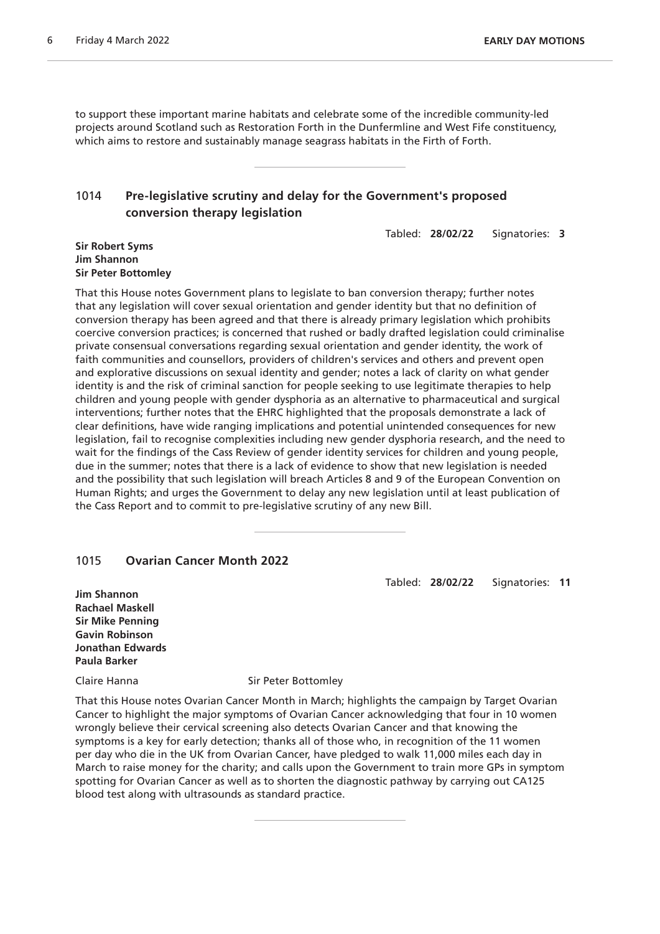to support these important marine habitats and celebrate some of the incredible community-led projects around Scotland such as Restoration Forth in the Dunfermline and West Fife constituency, which aims to restore and sustainably manage seagrass habitats in the Firth of Forth.

# 1014 **Pre-legislative scrutiny and delay for the Government's proposed conversion therapy legislation**

Tabled: **28/02/22** Signatories: **3**

#### **Sir Robert Syms Jim Shannon Sir Peter Bottomley**

That this House notes Government plans to legislate to ban conversion therapy; further notes that any legislation will cover sexual orientation and gender identity but that no definition of conversion therapy has been agreed and that there is already primary legislation which prohibits coercive conversion practices; is concerned that rushed or badly drafted legislation could criminalise private consensual conversations regarding sexual orientation and gender identity, the work of faith communities and counsellors, providers of children's services and others and prevent open and explorative discussions on sexual identity and gender; notes a lack of clarity on what gender identity is and the risk of criminal sanction for people seeking to use legitimate therapies to help children and young people with gender dysphoria as an alternative to pharmaceutical and surgical interventions; further notes that the EHRC highlighted that the proposals demonstrate a lack of clear definitions, have wide ranging implications and potential unintended consequences for new legislation, fail to recognise complexities including new gender dysphoria research, and the need to wait for the findings of the Cass Review of gender identity services for children and young people, due in the summer; notes that there is a lack of evidence to show that new legislation is needed and the possibility that such legislation will breach Articles 8 and 9 of the European Convention on Human Rights; and urges the Government to delay any new legislation until at least publication of the Cass Report and to commit to pre-legislative scrutiny of any new Bill.

### 1015 **Ovarian Cancer Month 2022**

Tabled: **28/02/22** Signatories: **11**

**Jim Shannon Rachael Maskell Sir Mike Penning Gavin Robinson Jonathan Edwards Paula Barker**

Claire Hanna Sir Peter Bottomley

That this House notes Ovarian Cancer Month in March; highlights the campaign by Target Ovarian Cancer to highlight the major symptoms of Ovarian Cancer acknowledging that four in 10 women wrongly believe their cervical screening also detects Ovarian Cancer and that knowing the symptoms is a key for early detection; thanks all of those who, in recognition of the 11 women per day who die in the UK from Ovarian Cancer, have pledged to walk 11,000 miles each day in March to raise money for the charity; and calls upon the Government to train more GPs in symptom spotting for Ovarian Cancer as well as to shorten the diagnostic pathway by carrying out CA125 blood test along with ultrasounds as standard practice.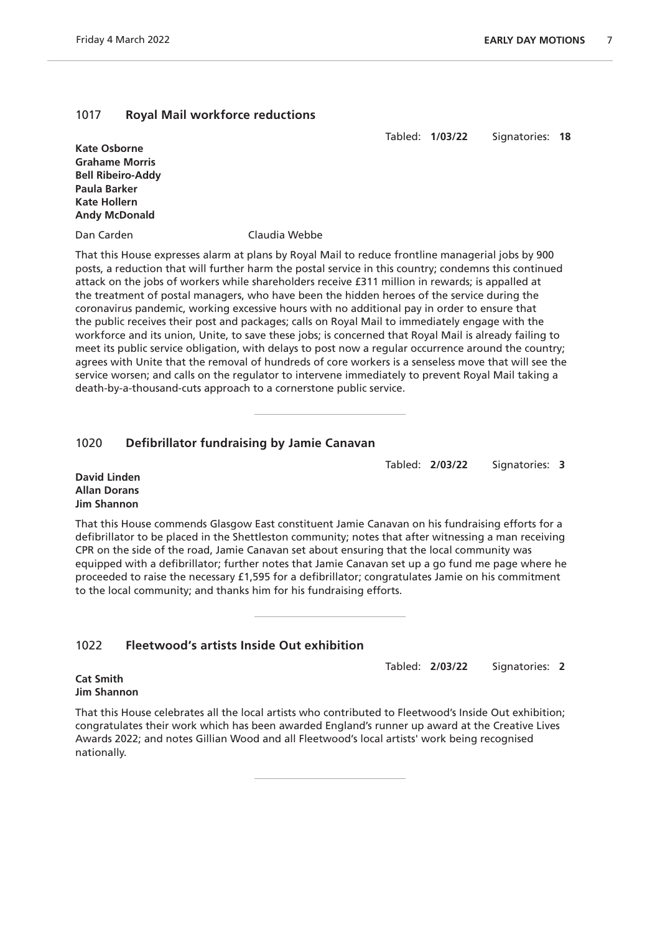# 1017 **Royal Mail workforce reductions**

Tabled: **1/03/22** Signatories: **18**

**Kate Osborne Grahame Morris Bell Ribeiro-Addy Paula Barker Kate Hollern Andy McDonald**

Dan Carden Claudia Webbe

That this House expresses alarm at plans by Royal Mail to reduce frontline managerial jobs by 900 posts, a reduction that will further harm the postal service in this country; condemns this continued attack on the jobs of workers while shareholders receive £311 million in rewards; is appalled at the treatment of postal managers, who have been the hidden heroes of the service during the coronavirus pandemic, working excessive hours with no additional pay in order to ensure that the public receives their post and packages; calls on Royal Mail to immediately engage with the workforce and its union, Unite, to save these jobs; is concerned that Royal Mail is already failing to meet its public service obligation, with delays to post now a regular occurrence around the country; agrees with Unite that the removal of hundreds of core workers is a senseless move that will see the service worsen; and calls on the regulator to intervene immediately to prevent Royal Mail taking a death-by-a-thousand-cuts approach to a cornerstone public service.

# 1020 **Defibrillator fundraising by Jamie Canavan**

Tabled: **2/03/22** Signatories: **3**

**David Linden Allan Dorans Jim Shannon**

That this House commends Glasgow East constituent Jamie Canavan on his fundraising efforts for a defibrillator to be placed in the Shettleston community; notes that after witnessing a man receiving CPR on the side of the road, Jamie Canavan set about ensuring that the local community was equipped with a defibrillator; further notes that Jamie Canavan set up a go fund me page where he proceeded to raise the necessary £1,595 for a defibrillator; congratulates Jamie on his commitment to the local community; and thanks him for his fundraising efforts.

# 1022 **Fleetwood's artists Inside Out exhibition**

Tabled: **2/03/22** Signatories: **2**

**Cat Smith Jim Shannon**

That this House celebrates all the local artists who contributed to Fleetwood's Inside Out exhibition; congratulates their work which has been awarded England's runner up award at the Creative Lives Awards 2022; and notes Gillian Wood and all Fleetwood's local artists' work being recognised nationally.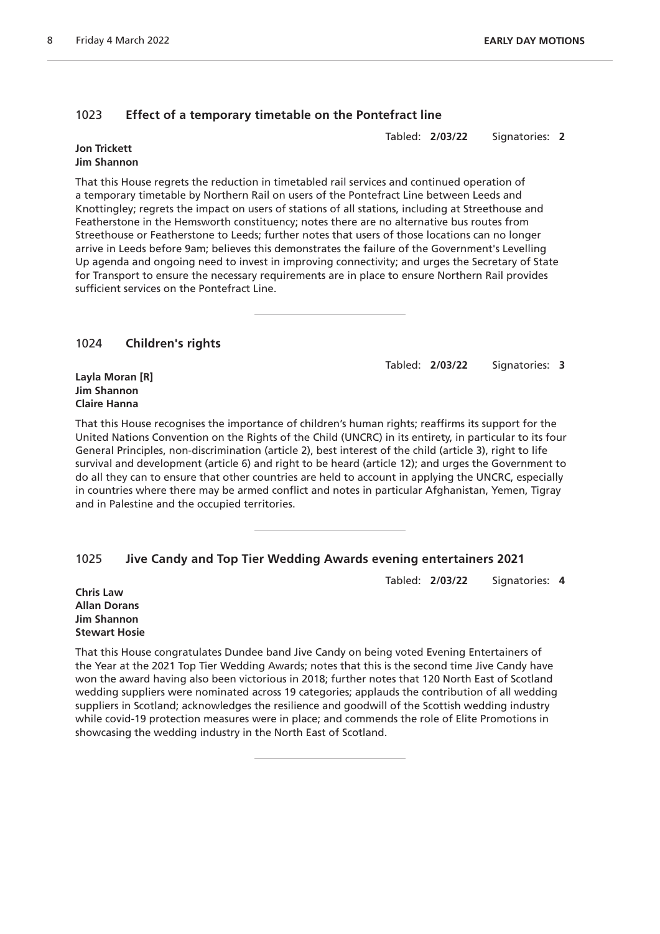# 1023 **Effect of a temporary timetable on the Pontefract line**

Tabled: **2/03/22** Signatories: **2**

#### **Jon Trickett Jim Shannon**

That this House regrets the reduction in timetabled rail services and continued operation of a temporary timetable by Northern Rail on users of the Pontefract Line between Leeds and Knottingley; regrets the impact on users of stations of all stations, including at Streethouse and Featherstone in the Hemsworth constituency; notes there are no alternative bus routes from Streethouse or Featherstone to Leeds; further notes that users of those locations can no longer arrive in Leeds before 9am; believes this demonstrates the failure of the Government's Levelling Up agenda and ongoing need to invest in improving connectivity; and urges the Secretary of State for Transport to ensure the necessary requirements are in place to ensure Northern Rail provides sufficient services on the Pontefract Line.

1024 **Children's rights**

Tabled: **2/03/22** Signatories: **3**

**Layla Moran [R] Jim Shannon Claire Hanna**

That this House recognises the importance of children's human rights; reaffirms its support for the United Nations Convention on the Rights of the Child (UNCRC) in its entirety, in particular to its four General Principles, non-discrimination (article 2), best interest of the child (article 3), right to life survival and development (article 6) and right to be heard (article 12); and urges the Government to do all they can to ensure that other countries are held to account in applying the UNCRC, especially in countries where there may be armed conflict and notes in particular Afghanistan, Yemen, Tigray and in Palestine and the occupied territories.

# 1025 **Jive Candy and Top Tier Wedding Awards evening entertainers 2021**

Tabled: **2/03/22** Signatories: **4**

**Chris Law Allan Dorans Jim Shannon Stewart Hosie**

That this House congratulates Dundee band Jive Candy on being voted Evening Entertainers of the Year at the 2021 Top Tier Wedding Awards; notes that this is the second time Jive Candy have won the award having also been victorious in 2018; further notes that 120 North East of Scotland wedding suppliers were nominated across 19 categories; applauds the contribution of all wedding suppliers in Scotland; acknowledges the resilience and goodwill of the Scottish wedding industry while covid-19 protection measures were in place; and commends the role of Elite Promotions in showcasing the wedding industry in the North East of Scotland.